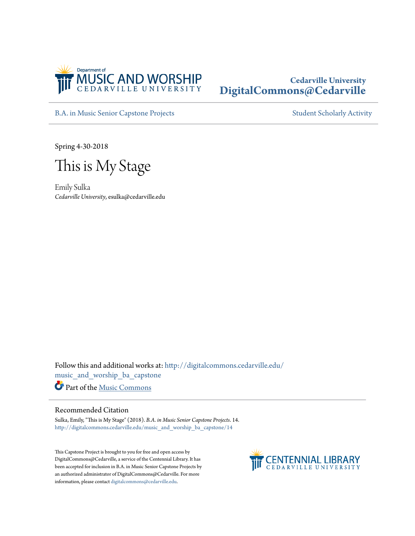

# **Cedarville University [DigitalCommons@Cedarville](http://digitalcommons.cedarville.edu?utm_source=digitalcommons.cedarville.edu%2Fmusic_and_worship_ba_capstone%2F14&utm_medium=PDF&utm_campaign=PDFCoverPages)**

[B.A. in Music Senior Capstone Projects](http://digitalcommons.cedarville.edu/music_and_worship_ba_capstone?utm_source=digitalcommons.cedarville.edu%2Fmusic_and_worship_ba_capstone%2F14&utm_medium=PDF&utm_campaign=PDFCoverPages) [Student Scholarly Activity](http://digitalcommons.cedarville.edu/music_student_scholarly_activity?utm_source=digitalcommons.cedarville.edu%2Fmusic_and_worship_ba_capstone%2F14&utm_medium=PDF&utm_campaign=PDFCoverPages)

Spring 4-30-2018

This is My Stage

Emily Sulka *Cedarville University*, esulka@cedarville.edu

Follow this and additional works at: [http://digitalcommons.cedarville.edu/](http://digitalcommons.cedarville.edu/music_and_worship_ba_capstone?utm_source=digitalcommons.cedarville.edu%2Fmusic_and_worship_ba_capstone%2F14&utm_medium=PDF&utm_campaign=PDFCoverPages) [music\\_and\\_worship\\_ba\\_capstone](http://digitalcommons.cedarville.edu/music_and_worship_ba_capstone?utm_source=digitalcommons.cedarville.edu%2Fmusic_and_worship_ba_capstone%2F14&utm_medium=PDF&utm_campaign=PDFCoverPages) Part of the [Music Commons](http://network.bepress.com/hgg/discipline/518?utm_source=digitalcommons.cedarville.edu%2Fmusic_and_worship_ba_capstone%2F14&utm_medium=PDF&utm_campaign=PDFCoverPages)

#### Recommended Citation

Sulka, Emily, "This is My Stage" (2018). *B.A. in Music Senior Capstone Projects*. 14. [http://digitalcommons.cedarville.edu/music\\_and\\_worship\\_ba\\_capstone/14](http://digitalcommons.cedarville.edu/music_and_worship_ba_capstone/14?utm_source=digitalcommons.cedarville.edu%2Fmusic_and_worship_ba_capstone%2F14&utm_medium=PDF&utm_campaign=PDFCoverPages)

This Capstone Project is brought to you for free and open access by DigitalCommons@Cedarville, a service of the Centennial Library. It has been accepted for inclusion in B.A. in Music Senior Capstone Projects by an authorized administrator of DigitalCommons@Cedarville. For more information, please contact [digitalcommons@cedarville.edu.](mailto:digitalcommons@cedarville.edu)

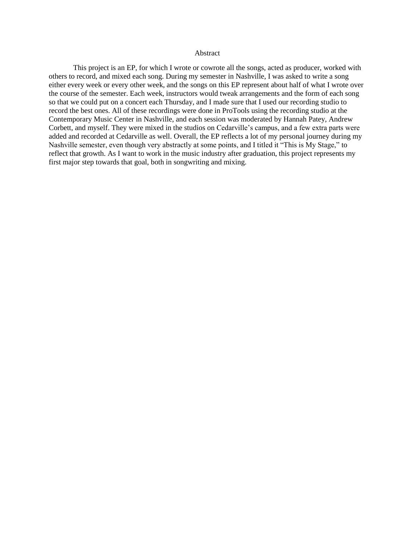#### Abstract

This project is an EP, for which I wrote or cowrote all the songs, acted as producer, worked with others to record, and mixed each song. During my semester in Nashville, I was asked to write a song either every week or every other week, and the songs on this EP represent about half of what I wrote over the course of the semester. Each week, instructors would tweak arrangements and the form of each song so that we could put on a concert each Thursday, and I made sure that I used our recording studio to record the best ones. All of these recordings were done in ProTools using the recording studio at the Contemporary Music Center in Nashville, and each session was moderated by Hannah Patey, Andrew Corbett, and myself. They were mixed in the studios on Cedarville's campus, and a few extra parts were added and recorded at Cedarville as well. Overall, the EP reflects a lot of my personal journey during my Nashville semester, even though very abstractly at some points, and I titled it "This is My Stage," to reflect that growth. As I want to work in the music industry after graduation, this project represents my first major step towards that goal, both in songwriting and mixing.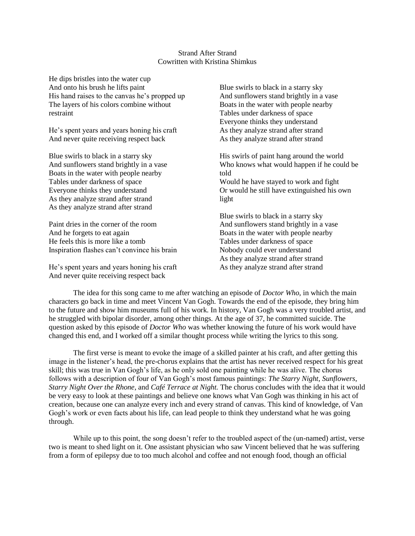### Strand After Strand Cowritten with Kristina Shimkus

He dips bristles into the water cup And onto his brush he lifts paint His hand raises to the canvas he's propped up The layers of his colors combine without restraint

He's spent years and years honing his craft And never quite receiving respect back

Blue swirls to black in a starry sky And sunflowers stand brightly in a vase Boats in the water with people nearby Tables under darkness of space Everyone thinks they understand As they analyze strand after strand As they analyze strand after strand

Paint dries in the corner of the room And he forgets to eat again He feels this is more like a tomb Inspiration flashes can't convince his brain

He's spent years and years honing his craft And never quite receiving respect back

Blue swirls to black in a starry sky And sunflowers stand brightly in a vase Boats in the water with people nearby Tables under darkness of space Everyone thinks they understand As they analyze strand after strand As they analyze strand after strand

His swirls of paint hang around the world Who knows what would happen if he could be told

Would he have stayed to work and fight Or would he still have extinguished his own light

Blue swirls to black in a starry sky And sunflowers stand brightly in a vase Boats in the water with people nearby Tables under darkness of space Nobody could ever understand As they analyze strand after strand As they analyze strand after strand

The idea for this song came to me after watching an episode of *Doctor Who*, in which the main characters go back in time and meet Vincent Van Gogh. Towards the end of the episode, they bring him to the future and show him museums full of his work. In history, Van Gogh was a very troubled artist, and he struggled with bipolar disorder, among other things. At the age of 37, he committed suicide. The question asked by this episode of *Doctor Who* was whether knowing the future of his work would have changed this end, and I worked off a similar thought process while writing the lyrics to this song.

The first verse is meant to evoke the image of a skilled painter at his craft, and after getting this image in the listener's head, the pre-chorus explains that the artist has never received respect for his great skill; this was true in Van Gogh's life, as he only sold one painting while he was alive. The chorus follows with a description of four of Van Gogh's most famous paintings: *The Starry Night*, *Sunflowers*, *Starry Night Over the Rhone*, and *Café Terrace at Night.* The chorus concludes with the idea that it would be very easy to look at these paintings and believe one knows what Van Gogh was thinking in his act of creation, because one can analyze every inch and every strand of canvas. This kind of knowledge, of Van Gogh's work or even facts about his life, can lead people to think they understand what he was going through.

While up to this point, the song doesn't refer to the troubled aspect of the (un-named) artist, verse two is meant to shed light on it. One assistant physician who saw Vincent believed that he was suffering from a form of epilepsy due to too much alcohol and coffee and not enough food, though an official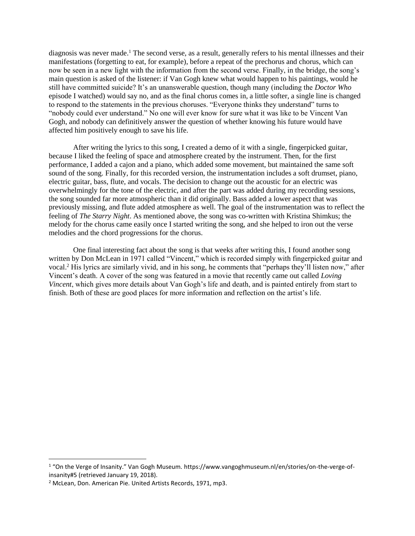diagnosis was never made.<sup>1</sup> The second verse, as a result, generally refers to his mental illnesses and their manifestations (forgetting to eat, for example), before a repeat of the prechorus and chorus, which can now be seen in a new light with the information from the second verse. Finally, in the bridge, the song's main question is asked of the listener: if Van Gogh knew what would happen to his paintings, would he still have committed suicide? It's an unanswerable question, though many (including the *Doctor Who*  episode I watched) would say no, and as the final chorus comes in, a little softer, a single line is changed to respond to the statements in the previous choruses. "Everyone thinks they understand" turns to "nobody could ever understand." No one will ever know for sure what it was like to be Vincent Van Gogh, and nobody can definitively answer the question of whether knowing his future would have affected him positively enough to save his life.

After writing the lyrics to this song, I created a demo of it with a single, fingerpicked guitar, because I liked the feeling of space and atmosphere created by the instrument. Then, for the first performance, I added a cajon and a piano, which added some movement, but maintained the same soft sound of the song. Finally, for this recorded version, the instrumentation includes a soft drumset, piano, electric guitar, bass, flute, and vocals. The decision to change out the acoustic for an electric was overwhelmingly for the tone of the electric, and after the part was added during my recording sessions, the song sounded far more atmospheric than it did originally. Bass added a lower aspect that was previously missing, and flute added atmosphere as well. The goal of the instrumentation was to reflect the feeling of *The Starry Night*. As mentioned above, the song was co-written with Kristina Shimkus; the melody for the chorus came easily once I started writing the song, and she helped to iron out the verse melodies and the chord progressions for the chorus.

One final interesting fact about the song is that weeks after writing this, I found another song written by Don McLean in 1971 called "Vincent," which is recorded simply with fingerpicked guitar and vocal.<sup>2</sup> His lyrics are similarly vivid, and in his song, he comments that "perhaps they'll listen now," after Vincent's death. A cover of the song was featured in a movie that recently came out called *Loving Vincent*, which gives more details about Van Gogh's life and death, and is painted entirely from start to finish. Both of these are good places for more information and reflection on the artist's life.

 $\overline{a}$ 

<sup>1</sup> "On the Verge of Insanity." Van Gogh Museum. https://www.vangoghmuseum.nl/en/stories/on-the-verge-ofinsanity#5 (retrieved January 19, 2018).

<sup>2</sup> McLean, Don. American Pie. United Artists Records, 1971, mp3.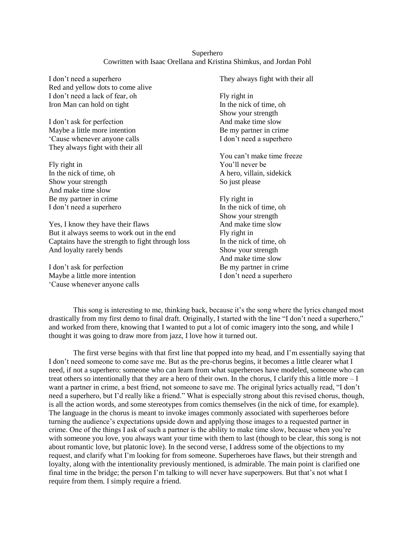### Superhero Cowritten with Isaac Orellana and Kristina Shimkus, and Jordan Pohl

I don't need a superhero Red and yellow dots to come alive I don't need a lack of fear, oh Iron Man can hold on tight

I don't ask for perfection Maybe a little more intention 'Cause whenever anyone calls They always fight with their all

Fly right in In the nick of time, oh Show your strength And make time slow Be my partner in crime I don't need a superhero

Yes, I know they have their flaws But it always seems to work out in the end Captains have the strength to fight through loss And loyalty rarely bends

I don't ask for perfection Maybe a little more intention 'Cause whenever anyone calls They always fight with their all

Fly right in In the nick of time, oh Show your strength And make time slow Be my partner in crime I don't need a superhero

- You can't make time freeze You'll never be A hero, villain, sidekick So just please
- Fly right in In the nick of time, oh Show your strength And make time slow Fly right in In the nick of time, oh Show your strength And make time slow Be my partner in crime I don't need a superhero

This song is interesting to me, thinking back, because it's the song where the lyrics changed most drastically from my first demo to final draft. Originally, I started with the line "I don't need a superhero," and worked from there, knowing that I wanted to put a lot of comic imagery into the song, and while I thought it was going to draw more from jazz, I love how it turned out.

The first verse begins with that first line that popped into my head, and I'm essentially saying that I don't need someone to come save me. But as the pre-chorus begins, it becomes a little clearer what I need, if not a superhero: someone who can learn from what superheroes have modeled, someone who can treat others so intentionally that they are a hero of their own. In the chorus, I clarify this a little more – I want a partner in crime, a best friend, not someone to save me. The original lyrics actually read, "I don't need a superhero, but I'd really like a friend." What is especially strong about this revised chorus, though, is all the action words, and some stereotypes from comics themselves (in the nick of time, for example). The language in the chorus is meant to invoke images commonly associated with superheroes before turning the audience's expectations upside down and applying those images to a requested partner in crime. One of the things I ask of such a partner is the ability to make time slow, because when you're with someone you love, you always want your time with them to last (though to be clear, this song is not about romantic love, but platonic love). In the second verse, I address some of the objections to my request, and clarify what I'm looking for from someone. Superheroes have flaws, but their strength and loyalty, along with the intentionality previously mentioned, is admirable. The main point is clarified one final time in the bridge; the person I'm talking to will never have superpowers. But that's not what I require from them. I simply require a friend.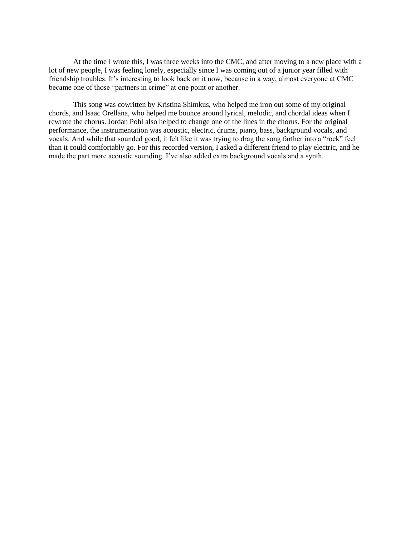At the time I wrote this, I was three weeks into the CMC, and after moving to a new place with a lot of new people, I was feeling lonely, especially since I was coming out of a junior year filled with friendship troubles. It's interesting to look back on it now, because in a way, almost everyone at CMC became one of those "partners in crime" at one point or another.

This song was cowritten by Kristina Shimkus, who helped me iron out some of my original chords, and Isaac Orellana, who helped me bounce around lyrical, melodic, and chordal ideas when I rewrote the chorus. Jordan Pohl also helped to change one of the lines in the chorus. For the original performance, the instrumentation was acoustic, electric, drums, piano, bass, background vocals, and vocals. And while that sounded good, it felt like it was trying to drag the song farther into a "rock" feel than it could comfortably go. For this recorded version, I asked a different friend to play electric, and he made the part more acoustic sounding. I've also added extra background vocals and a synth.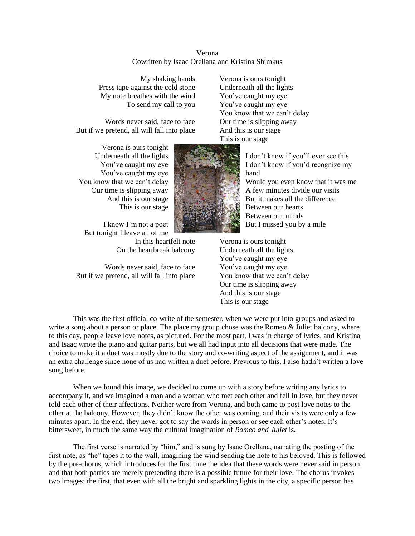| Verona                                           |  |
|--------------------------------------------------|--|
| Cowritten by Isaac Orellana and Kristina Shimkus |  |

My shaking hands Press tape against the cold stone My note breathes with the wind To send my call to you

Words never said, face to face But if we pretend, all will fall into place

Verona is ours tonight Underneath all the lights You've caught my eye You've caught my eye You know that we can't delay Our time is slipping away And this is our stage This is our stage

Verona is ours tonight Underneath all the lights You've caught my eye You've caught my eye You know that we can't delay Our time is slipping away And this is our stage This is our stage

I know I'm not a poet But tonight I leave all of me In this heartfelt note On the heartbreak balcony

Words never said, face to face But if we pretend, all will fall into place



I don't know if you'll ever see this I don't know if you'd recognize my hand Would you even know that it was me A few minutes divide our visits But it makes all the difference Between our hearts Between our minds But I missed you by a mile

Verona is ours tonight Underneath all the lights You've caught my eye You've caught my eye You know that we can't delay Our time is slipping away And this is our stage This is our stage

This was the first official co-write of the semester, when we were put into groups and asked to write a song about a person or place. The place my group chose was the Romeo & Juliet balcony, where to this day, people leave love notes, as pictured. For the most part, I was in charge of lyrics, and Kristina and Isaac wrote the piano and guitar parts, but we all had input into all decisions that were made. The choice to make it a duet was mostly due to the story and co-writing aspect of the assignment, and it was an extra challenge since none of us had written a duet before. Previous to this, I also hadn't written a love song before.

When we found this image, we decided to come up with a story before writing any lyrics to accompany it, and we imagined a man and a woman who met each other and fell in love, but they never told each other of their affections. Neither were from Verona, and both came to post love notes to the other at the balcony. However, they didn't know the other was coming, and their visits were only a few minutes apart. In the end, they never got to say the words in person or see each other's notes. It's bittersweet, in much the same way the cultural imagination of *Romeo and Juliet* is.

The first verse is narrated by "him," and is sung by Isaac Orellana, narrating the posting of the first note, as "he" tapes it to the wall, imagining the wind sending the note to his beloved. This is followed by the pre-chorus, which introduces for the first time the idea that these words were never said in person, and that both parties are merely pretending there is a possible future for their love. The chorus invokes two images: the first, that even with all the bright and sparkling lights in the city, a specific person has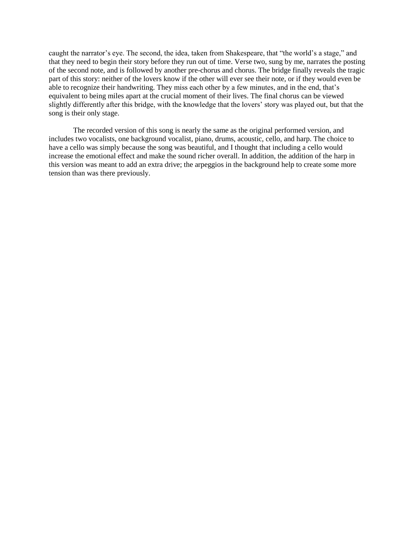caught the narrator's eye. The second, the idea, taken from Shakespeare, that "the world's a stage," and that they need to begin their story before they run out of time. Verse two, sung by me, narrates the posting of the second note, and is followed by another pre-chorus and chorus. The bridge finally reveals the tragic part of this story: neither of the lovers know if the other will ever see their note, or if they would even be able to recognize their handwriting. They miss each other by a few minutes, and in the end, that's equivalent to being miles apart at the crucial moment of their lives. The final chorus can be viewed slightly differently after this bridge, with the knowledge that the lovers' story was played out, but that the song is their only stage.

The recorded version of this song is nearly the same as the original performed version, and includes two vocalists, one background vocalist, piano, drums, acoustic, cello, and harp. The choice to have a cello was simply because the song was beautiful, and I thought that including a cello would increase the emotional effect and make the sound richer overall. In addition, the addition of the harp in this version was meant to add an extra drive; the arpeggios in the background help to create some more tension than was there previously.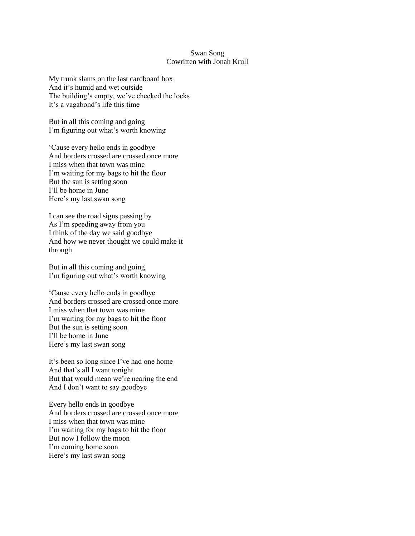#### Swan Song Cowritten with Jonah Krull

My trunk slams on the last cardboard box And it's humid and wet outside The building's empty, we've checked the locks It's a vagabond's life this time

But in all this coming and going I'm figuring out what's worth knowing

'Cause every hello ends in goodbye And borders crossed are crossed once more I miss when that town was mine I'm waiting for my bags to hit the floor But the sun is setting soon I'll be home in June Here's my last swan song

I can see the road signs passing by As I'm speeding away from you I think of the day we said goodbye And how we never thought we could make it through

But in all this coming and going I'm figuring out what's worth knowing

'Cause every hello ends in goodbye And borders crossed are crossed once more I miss when that town was mine I'm waiting for my bags to hit the floor But the sun is setting soon I'll be home in June Here's my last swan song

It's been so long since I've had one home And that's all I want tonight But that would mean we're nearing the end And I don't want to say goodbye

Every hello ends in goodbye And borders crossed are crossed once more I miss when that town was mine I'm waiting for my bags to hit the floor But now I follow the moon I'm coming home soon Here's my last swan song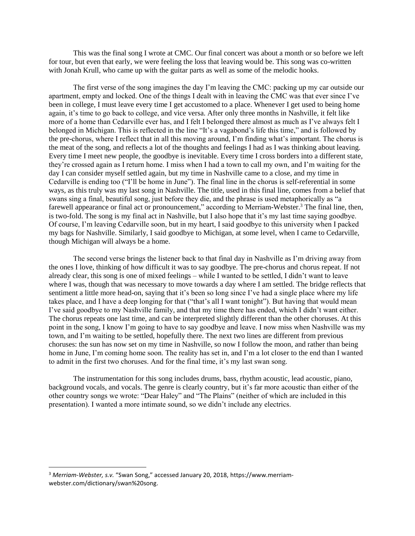This was the final song I wrote at CMC. Our final concert was about a month or so before we left for tour, but even that early, we were feeling the loss that leaving would be. This song was co-written with Jonah Krull, who came up with the guitar parts as well as some of the melodic hooks.

The first verse of the song imagines the day I'm leaving the CMC: packing up my car outside our apartment, empty and locked. One of the things I dealt with in leaving the CMC was that ever since I've been in college, I must leave every time I get accustomed to a place. Whenever I get used to being home again, it's time to go back to college, and vice versa. After only three months in Nashville, it felt like more of a home than Cedarville ever has, and I felt I belonged there almost as much as I've always felt I belonged in Michigan. This is reflected in the line "It's a vagabond's life this time," and is followed by the pre-chorus, where I reflect that in all this moving around, I'm finding what's important. The chorus is the meat of the song, and reflects a lot of the thoughts and feelings I had as I was thinking about leaving. Every time I meet new people, the goodbye is inevitable. Every time I cross borders into a different state, they're crossed again as I return home. I miss when I had a town to call my own, and I'm waiting for the day I can consider myself settled again, but my time in Nashville came to a close, and my time in Cedarville is ending too ("I'll be home in June"). The final line in the chorus is self-referential in some ways, as this truly was my last song in Nashville. The title, used in this final line, comes from a belief that swans sing a final, beautiful song, just before they die, and the phrase is used metaphorically as "a farewell appearance or final act or pronouncement," according to Merriam-Webster.<sup>3</sup> The final line, then, is two-fold. The song is my final act in Nashville, but I also hope that it's my last time saying goodbye. Of course, I'm leaving Cedarville soon, but in my heart, I said goodbye to this university when I packed my bags for Nashville. Similarly, I said goodbye to Michigan, at some level, when I came to Cedarville, though Michigan will always be a home.

The second verse brings the listener back to that final day in Nashville as I'm driving away from the ones I love, thinking of how difficult it was to say goodbye. The pre-chorus and chorus repeat. If not already clear, this song is one of mixed feelings – while I wanted to be settled, I didn't want to leave where I was, though that was necessary to move towards a day where I am settled. The bridge reflects that sentiment a little more head-on, saying that it's been so long since I've had a single place where my life takes place, and I have a deep longing for that ("that's all I want tonight"). But having that would mean I've said goodbye to my Nashville family, and that my time there has ended, which I didn't want either. The chorus repeats one last time, and can be interpreted slightly different than the other choruses. At this point in the song, I know I'm going to have to say goodbye and leave. I now miss when Nashville was my town, and I'm waiting to be settled, hopefully there. The next two lines are different from previous choruses: the sun has now set on my time in Nashville, so now I follow the moon, and rather than being home in June, I'm coming home soon. The reality has set in, and I'm a lot closer to the end than I wanted to admit in the first two choruses. And for the final time, it's my last swan song.

The instrumentation for this song includes drums, bass, rhythm acoustic, lead acoustic, piano, background vocals, and vocals. The genre is clearly country, but it's far more acoustic than either of the other country songs we wrote: "Dear Haley" and "The Plains" (neither of which are included in this presentation). I wanted a more intimate sound, so we didn't include any electrics.

 $\overline{\phantom{a}}$ 

<sup>3</sup> *Merriam-Webster, s.v.* "Swan Song," accessed January 20, 2018, https://www.merriamwebster.com/dictionary/swan%20song.